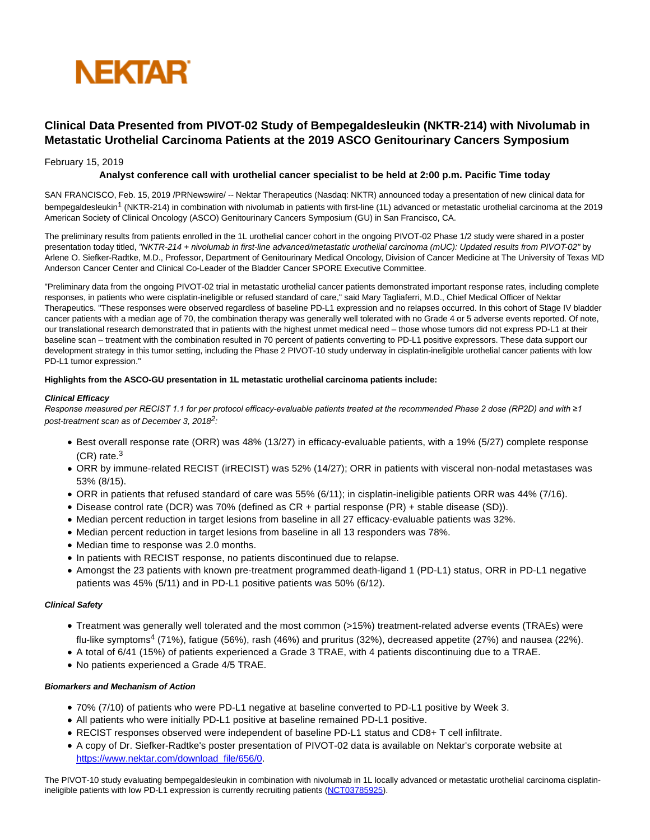

# **Clinical Data Presented from PIVOT-02 Study of Bempegaldesleukin (NKTR-214) with Nivolumab in Metastatic Urothelial Carcinoma Patients at the 2019 ASCO Genitourinary Cancers Symposium**

## February 15, 2019

# **Analyst conference call with urothelial cancer specialist to be held at 2:00 p.m. Pacific Time today**

SAN FRANCISCO, Feb. 15, 2019 /PRNewswire/ -- Nektar Therapeutics (Nasdaq: NKTR) announced today a presentation of new clinical data for bempegaldesleukin<sup>1</sup> (NKTR-214) in combination with nivolumab in patients with first-line (1L) advanced or metastatic urothelial carcinoma at the 2019 American Society of Clinical Oncology (ASCO) Genitourinary Cancers Symposium (GU) in San Francisco, CA.

The preliminary results from patients enrolled in the 1L urothelial cancer cohort in the ongoing PIVOT-02 Phase 1/2 study were shared in a poster presentation today titled, "NKTR-214 + nivolumab in first-line advanced/metastatic urothelial carcinoma (mUC): Updated results from PIVOT-02" by Arlene O. Siefker-Radtke, M.D., Professor, Department of Genitourinary Medical Oncology, Division of Cancer Medicine at The University of Texas MD Anderson Cancer Center and Clinical Co-Leader of the Bladder Cancer SPORE Executive Committee.

"Preliminary data from the ongoing PIVOT-02 trial in metastatic urothelial cancer patients demonstrated important response rates, including complete responses, in patients who were cisplatin-ineligible or refused standard of care," said Mary Tagliaferri, M.D., Chief Medical Officer of Nektar Therapeutics. "These responses were observed regardless of baseline PD-L1 expression and no relapses occurred. In this cohort of Stage IV bladder cancer patients with a median age of 70, the combination therapy was generally well tolerated with no Grade 4 or 5 adverse events reported. Of note, our translational research demonstrated that in patients with the highest unmet medical need – those whose tumors did not express PD-L1 at their baseline scan – treatment with the combination resulted in 70 percent of patients converting to PD-L1 positive expressors. These data support our development strategy in this tumor setting, including the Phase 2 PIVOT-10 study underway in cisplatin-ineligible urothelial cancer patients with low PD-L1 tumor expression."

#### **Highlights from the ASCO-GU presentation in 1L metastatic urothelial carcinoma patients include:**

#### **Clinical Efficacy**

*Response measured per RECIST 1.1 for per protocol efficacy-evaluable patients treated at the recommended Phase 2 dose (RP2D) and with ≥1* post-treatment scan as of December 3,  $2018^2$ :

- Best overall response rate (ORR) was 48% (13/27) in efficacy-evaluable patients, with a 19% (5/27) complete response (CR) rate.<sup>3</sup>
- ORR by immune-related RECIST (irRECIST) was 52% (14/27); ORR in patients with visceral non-nodal metastases was 53% (8/15).
- ORR in patients that refused standard of care was 55% (6/11); in cisplatin-ineligible patients ORR was 44% (7/16).
- Disease control rate (DCR) was 70% (defined as CR + partial response (PR) + stable disease (SD)).
- Median percent reduction in target lesions from baseline in all 27 efficacy-evaluable patients was 32%.
- $\bullet$  Median percent reduction in target lesions from baseline in all 13 responders was 78%.
- Median time to response was 2.0 months.
- In patients with RECIST response, no patients discontinued due to relapse.
- Amongst the 23 patients with known pre-treatment programmed death-ligand 1 (PD-L1) status, ORR in PD-L1 negative patients was 45% (5/11) and in PD-L1 positive patients was 50% (6/12).

#### **Clinical Safety**

- Treatment was generally well tolerated and the most common (>15%) treatment-related adverse events (TRAEs) were flu-like symptoms<sup>4</sup> (71%), fatigue (56%), rash (46%) and pruritus (32%), decreased appetite (27%) and nausea (22%).
- A total of 6/41 (15%) of patients experienced a Grade 3 TRAE, with 4 patients discontinuing due to a TRAE.
- No patients experienced a Grade 4/5 TRAE.

#### **Biomarkers and Mechanism of Action**

- 70% (7/10) of patients who were PD-L1 negative at baseline converted to PD-L1 positive by Week 3.
- All patients who were initially PD-L1 positive at baseline remained PD-L1 positive.
- RECIST responses observed were independent of baseline PD-L1 status and CD8+ T cell infiltrate.
- A copy of Dr. Siefker-Radtke's poster presentation of PIVOT-02 data is available on Nektar's corporate website at [https://www.nektar.com/download\\_file/656/0.](https://c212.net/c/link/?t=0&l=en&o=2377099-1&h=1422012509&u=https%3A%2F%2Fwww.nektar.com%2Fdownload_file%2F656%2F0&a=https%3A%2F%2Fwww.nektar.com%2Fdownload_file%2F656%2F0)

The PIVOT-10 study evaluating bempegaldesleukin in combination with nivolumab in 1L locally advanced or metastatic urothelial carcinoma cisplatin-ineligible patients with low PD-L1 expression is currently recruiting patients [\(NCT03785925\).](https://c212.net/c/link/?t=0&l=en&o=2377099-1&h=3616520879&u=https%3A%2F%2Fclinicaltrials.gov%2Fct2%2Fshow%2FNCT03785925&a=NCT03785925)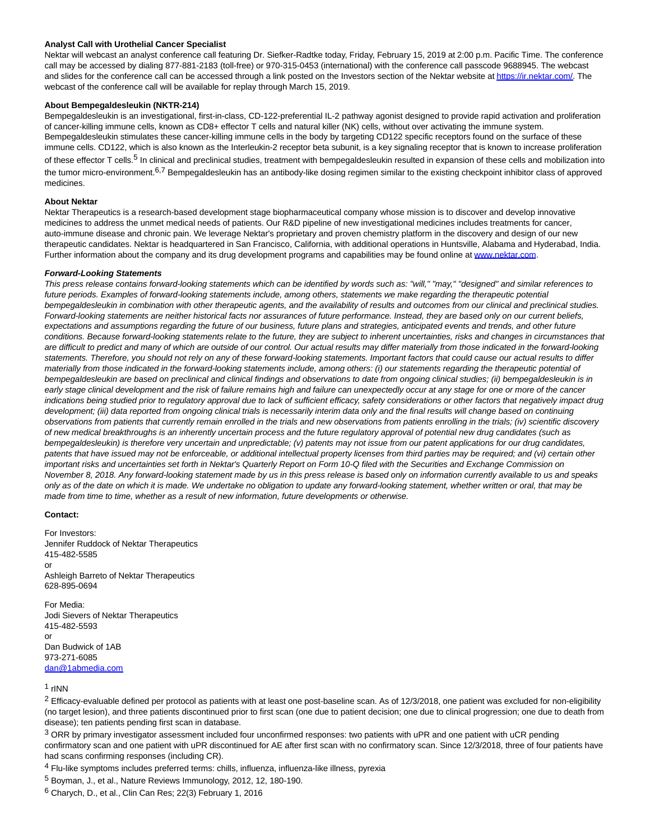#### **Analyst Call with Urothelial Cancer Specialist**

Nektar will webcast an analyst conference call featuring Dr. Siefker-Radtke today, Friday, February 15, 2019 at 2:00 p.m. Pacific Time. The conference call may be accessed by dialing 877-881-2183 (toll-free) or 970-315-0453 (international) with the conference call passcode 9688945. The webcast and slides for the conference call can be accessed through a link posted on the Investors section of the Nektar website a[t https://ir.nektar.com/.](https://c212.net/c/link/?t=0&l=en&o=2377099-1&h=3834615902&u=https%3A%2F%2Fir.nektar.com%2F&a=https%3A%2F%2Fir.nektar.com%2F) The webcast of the conference call will be available for replay through March 15, 2019.

#### **About Bempegaldesleukin (NKTR-214)**

Bempegaldesleukin is an investigational, first-in-class, CD-122-preferential IL-2 pathway agonist designed to provide rapid activation and proliferation of cancer-killing immune cells, known as CD8+ effector T cells and natural killer (NK) cells, without over activating the immune system. Bempegaldesleukin stimulates these cancer-killing immune cells in the body by targeting CD122 specific receptors found on the surface of these immune cells. CD122, which is also known as the Interleukin-2 receptor beta subunit, is a key signaling receptor that is known to increase proliferation of these effector T cells.<sup>5</sup> In clinical and preclinical studies, treatment with bempegaldesleukin resulted in expansion of these cells and mobilization into the tumor micro-environment.<sup>6,7</sup> Bempegaldesleukin has an antibody-like dosing regimen similar to the existing checkpoint inhibitor class of approved medicines.

#### **About Nektar**

Nektar Therapeutics is a research-based development stage biopharmaceutical company whose mission is to discover and develop innovative medicines to address the unmet medical needs of patients. Our R&D pipeline of new investigational medicines includes treatments for cancer, auto-immune disease and chronic pain. We leverage Nektar's proprietary and proven chemistry platform in the discovery and design of our new therapeutic candidates. Nektar is headquartered in San Francisco, California, with additional operations in Huntsville, Alabama and Hyderabad, India. Further information about the company and its drug development programs and capabilities may be found online at www.nektar.com.

#### **Forward-Looking Statements**

This press release contains forward-looking statements which can be identified by words such as: "will," "may," "designed" and similar references to future periods. Examples of forward-looking statements include, among others, statements we make regarding the therapeutic potential bempegaldesleukin in combination with other therapeutic agents, and the availability of results and outcomes from our clinical and preclinical studies. Forward-looking statements are neither historical facts nor assurances of future performance. Instead, they are based only on our current beliefs, expectations and assumptions regarding the future of our business, future plans and strategies, anticipated events and trends, and other future conditions. Because forward-looking statements relate to the future, they are subject to inherent uncertainties, risks and changes in circumstances that are difficult to predict and many of which are outside of our control. Our actual results may differ materially from those indicated in the forward-looking statements. Therefore, you should not rely on any of these forward-looking statements. Important factors that could cause our actual results to differ materially from those indicated in the forward-looking statements include, among others: (i) our statements regarding the therapeutic potential of bempegaldesleukin are based on preclinical and clinical findings and observations to date from ongoing clinical studies; (ii) bempegaldesleukin is in early stage clinical development and the risk of failure remains high and failure can unexpectedly occur at any stage for one or more of the cancer indications being studied prior to regulatory approval due to lack of sufficient efficacy, safety considerations or other factors that negatively impact drug development; (iii) data reported from ongoing clinical trials is necessarily interim data only and the final results will change based on continuing observations from patients that currently remain enrolled in the trials and new observations from patients enrolling in the trials; (iv) scientific discovery of new medical breakthroughs is an inherently uncertain process and the future regulatory approval of potential new drug candidates (such as bempegaldesleukin) is therefore very uncertain and unpredictable; (v) patents may not issue from our patent applications for our drug candidates, patents that have issued may not be enforceable, or additional intellectual property licenses from third parties may be required; and (vi) certain other important risks and uncertainties set forth in Nektar's Quarterly Report on Form 10-Q filed with the Securities and Exchange Commission on November 8, 2018. Any forward-looking statement made by us in this press release is based only on information currently available to us and speaks only as of the date on which it is made. We undertake no obligation to update any forward-looking statement, whether written or oral, that may be made from time to time, whether as a result of new information, future developments or otherwise.

#### **Contact:**

For Investors: Jennifer Ruddock of Nektar Therapeutics 415-482-5585 or Ashleigh Barreto of Nektar Therapeutics 628-895-0694

For Media: Jodi Sievers of Nektar Therapeutics 415-482-5593 or Dan Budwick of 1AB 973-271-6085 [dan@1abmedia.com](mailto:dan@1abmedia.com)

### 1 rINN

 $2$  Efficacy-evaluable defined per protocol as patients with at least one post-baseline scan. As of 12/3/2018, one patient was excluded for non-eligibility (no target lesion), and three patients discontinued prior to first scan (one due to patient decision; one due to clinical progression; one due to death from disease); ten patients pending first scan in database.

<sup>3</sup> ORR by primary investigator assessment included four unconfirmed responses: two patients with uPR and one patient with uCR pending confirmatory scan and one patient with uPR discontinued for AE after first scan with no confirmatory scan. Since 12/3/2018, three of four patients have had scans confirming responses (including CR).

- 4 Flu-like symptoms includes preferred terms: chills, influenza, influenza-like illness, pyrexia
- 5 Boyman, J., et al., Nature Reviews Immunology, 2012, 12, 180-190.
- $6$  Charych, D., et al., Clin Can Res; 22(3) February 1, 2016